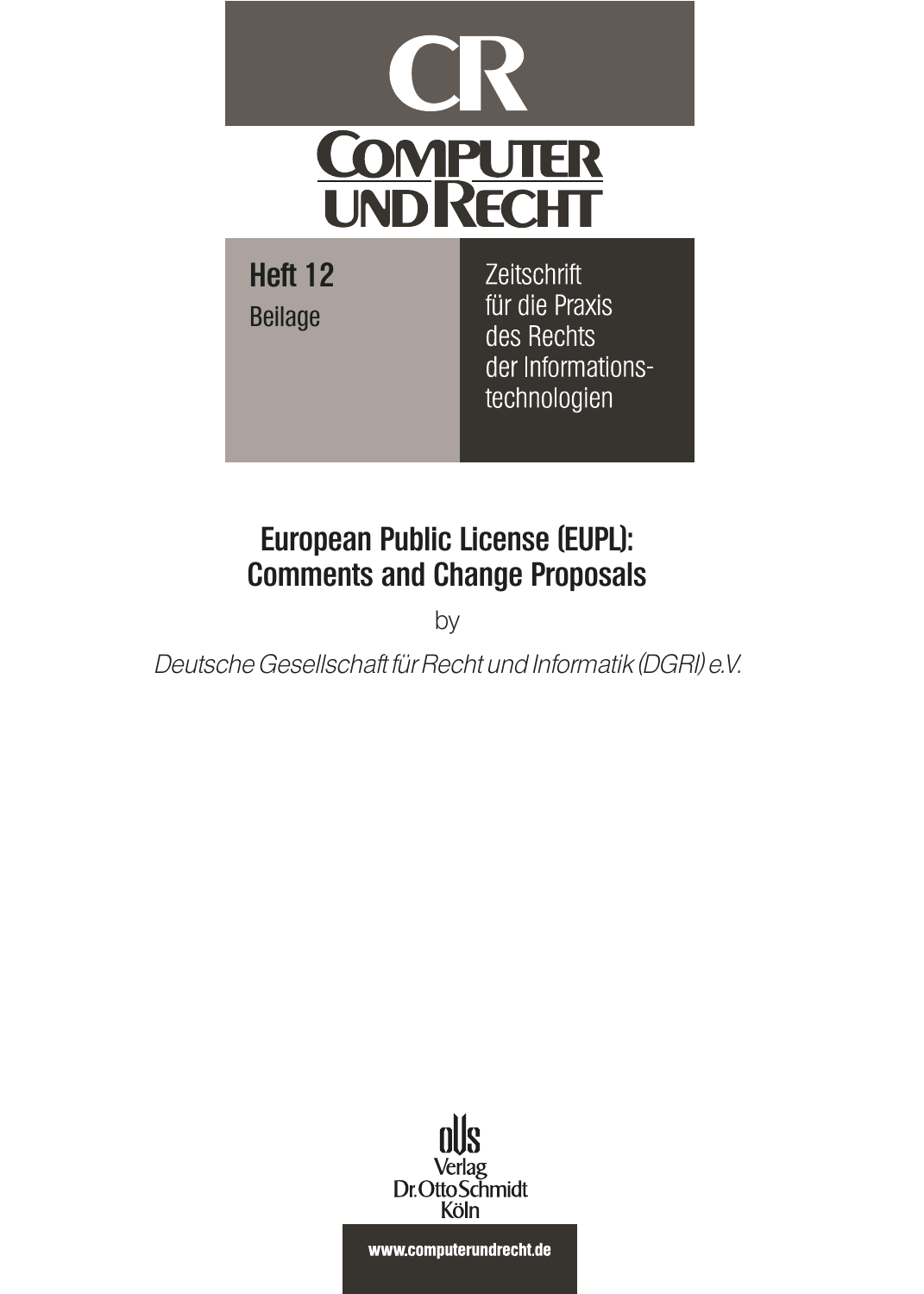

# **European Public License (EUPL): Comments and Change Proposals**

by

Deutsche Gesellschaft für Recht und Informatik (DGRI) e.V.



www.computerundrecht.de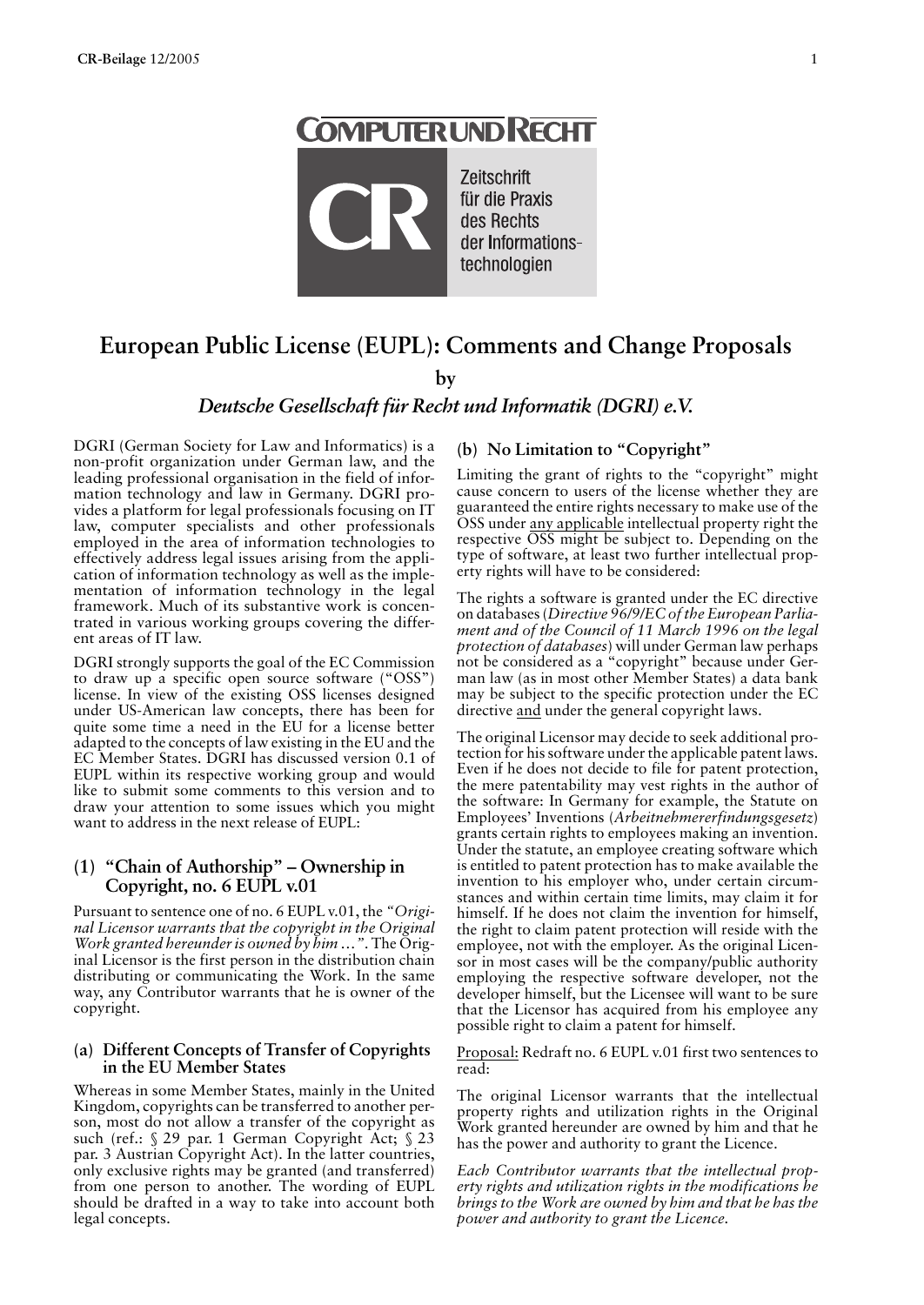# **COMPUTERUND RECHT**

Zeitschrift für die Praxis des Rechts der Informationstechnologien

# **European Public License (EUPL): Comments and Change Proposals**

**by**

## *Deutsche Gesellschaft für Recht und Informatik (DGRI) e.V.*

DGRI (German Society for Law and Informatics) is a non-profit organization under German law, and the leading professional organisation in the field of information technology and law in Germany. DGRI provides a platform for legal professionals focusing on IT law, computer specialists and other professionals employed in the area of information technologies to effectively address legal issues arising from the application of information technology as well as the implementation of information technology in the legal framework. Much of its substantive work is concentrated in various working groups covering the different areas of IT law.

DGRI strongly supports the goal of the EC Commission to draw up a specific open source software ("OSS") license. In view of the existing OSS licenses designed under US-American law concepts, there has been for quite some time a need in the EU for a license better adapted to the concepts of law existing in the EU and the EC Member States. DGRI has discussed version 0.1 of EUPL within its respective working group and would like to submit some comments to this version and to draw your attention to some issues which you might want to address in the next release of EUPL:

#### **(1) "Chain of Authorship" – Ownership in Copyright, no. 6 EUPL v.01**

Pursuant to sentence one of no. 6 EUPL v.01, the *"Original Licensor warrants that the copyright in the Original Work granted hereunder is owned by him …"*. The Original Licensor is the first person in the distribution chain distributing or communicating the Work. In the same way, any Contributor warrants that he is owner of the copyright.

#### **(a) Different Concepts of Transfer of Copyrights in the EU Member States**

Whereas in some Member States, mainly in the United Kingdom, copyrights can be transferred to another person, most do not allow a transfer of the copyright as such (ref.: § 29 par. 1 German Copyright Act; § 23 par. 3 Austrian Copyright Act). In the latter countries, only exclusive rights may be granted (and transferred) from one person to another. The wording of EUPL should be drafted in a way to take into account both legal concepts.

#### **(b) No Limitation to "Copyright"**

Limiting the grant of rights to the "copyright" might cause concern to users of the license whether they are guaranteed the entire rights necessary to make use of the OSS under any applicable intellectual property right the respective OSS might be subject to. Depending on the type of software, at least two further intellectual property rights will have to be considered:

The rights a software is granted under the EC directive on databases (*Directive 96/9/EC of the European Parliament and of the Council of 11 March 1996 on the legal protection of databases*) will under German law perhaps not be considered as a "copyright" because under German law (as in most other Member States) a data bank may be subject to the specific protection under the EC directive and under the general copyright laws.

The original Licensor may decide to seek additional protection for his software under the applicable patent laws. Even if he does not decide to file for patent protection, the mere patentability may vest rights in the author of the software: In Germany for example, the Statute on Employees' Inventions (*Arbeitnehmererfindungsgesetz*) grants certain rights to employees making an invention. Under the statute, an employee creating software which is entitled to patent protection has to make available the invention to his employer who, under certain circumstances and within certain time limits, may claim it for himself. If he does not claim the invention for himself, the right to claim patent protection will reside with the employee, not with the employer. As the original Licensor in most cases will be the company/public authority employing the respective software developer, not the developer himself, but the Licensee will want to be sure that the Licensor has acquired from his employee any possible right to claim a patent for himself.

Proposal: Redraft no. 6 EUPL v.01 first two sentences to read:

The original Licensor warrants that the intellectual property rights and utilization rights in the Original Work granted hereunder are owned by him and that he has the power and authority to grant the Licence.

*Each Contributor warrants that the intellectual property rights and utilization rights in the modifications he brings to the Work are owned by him and that he has the power and authority to grant the Licence.*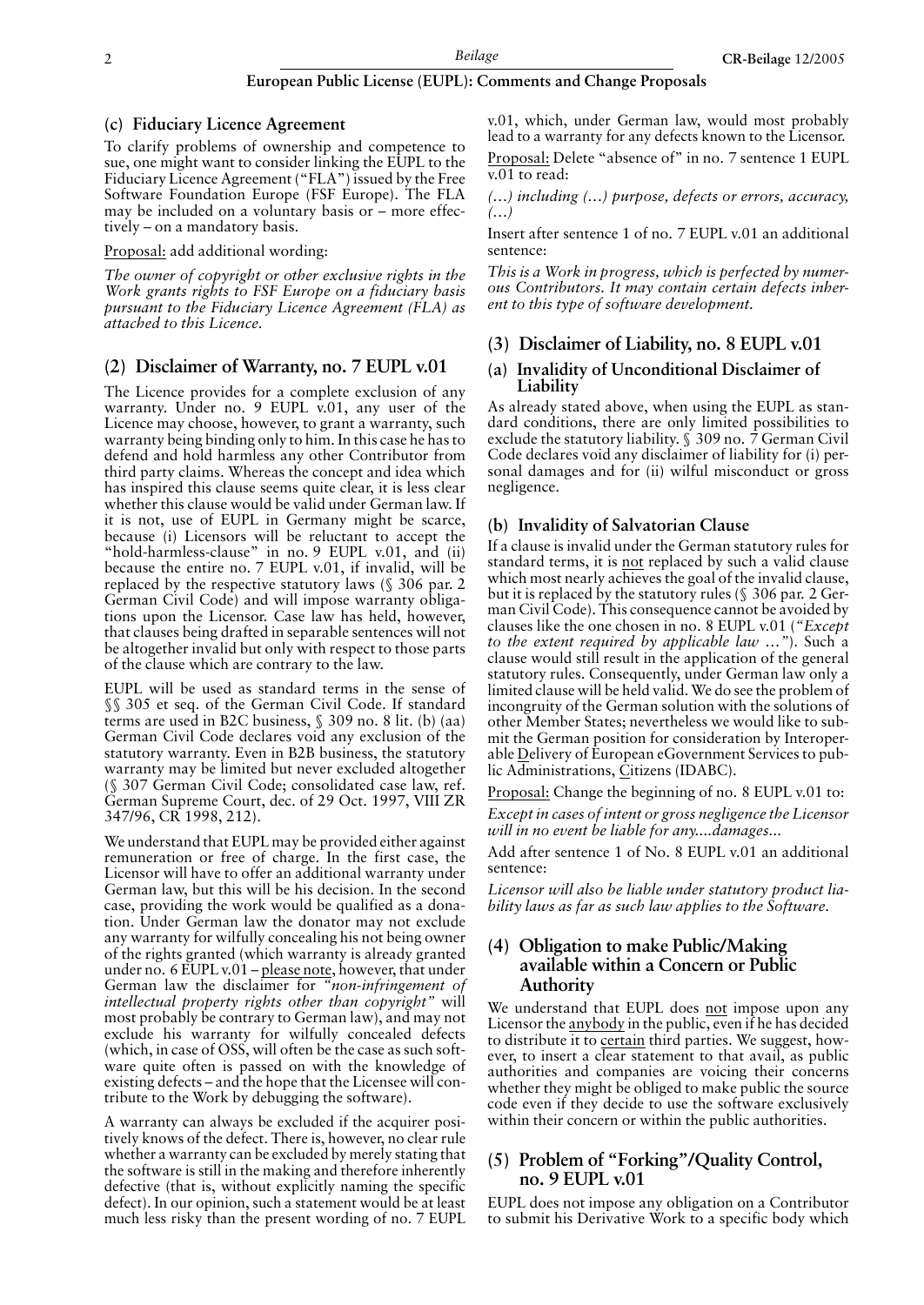#### **European Public License (EUPL): Comments and Change Proposals**

#### **(c) Fiduciary Licence Agreement**

To clarify problems of ownership and competence to sue, one might want to consider linking the EUPL to the Fiduciary Licence Agreement ("FLA") issued by the Free Software Foundation Europe (FSF Europe). The FLA may be included on a voluntary basis or – more effectively – on a mandatory basis.

Proposal: add additional wording:

*The owner of copyright or other exclusive rights in the Work grants rights to FSF Europe on a fiduciary basis pursuant to the Fiduciary Licence Agreement (FLA) as attached to this Licence.*

#### **(2) Disclaimer of Warranty, no. 7 EUPL v.01**

The Licence provides for a complete exclusion of any warranty. Under no. 9 EUPL v.01, any user of the Licence may choose, however, to grant a warranty, such warranty being binding only to him. In this case he has to defend and hold harmless any other Contributor from third party claims. Whereas the concept and idea which has inspired this clause seems quite clear, it is less clear whether this clause would be valid under German law. If it is not, use of EUPL in Germany might be scarce, because (i) Licensors will be reluctant to accept the "hold-harmless-clause" in no. 9 EUPL v.01, and (ii) because the entire no. 7 EUPL v.01, if invalid, will be replaced by the respective statutory laws (§ 306 par. 2 German Civil Code) and will impose warranty obligations upon the Licensor. Case law has held, however, that clauses being drafted in separable sentences will not be altogether invalid but only with respect to those parts of the clause which are contrary to the law.

EUPL will be used as standard terms in the sense of §§ 305 et seq. of the German Civil Code. If standard terms are used in B2C business, § 309 no. 8 lit. (b) (aa) German Civil Code declares void any exclusion of the statutory warranty. Even in B2B business, the statutory warranty may be limited but never excluded altogether (§ 307 German Civil Code; consolidated case law, ref. German Supreme Court, dec. of 29 Oct. 1997, VIII ZR 347/96, CR 1998, 212).

We understand that EUPL may be provided either against remuneration or free of charge. In the first case, the Licensor will have to offer an additional warranty under German law, but this will be his decision. In the second case, providing the work would be qualified as a donation. Under German law the donator may not exclude any warranty for wilfully concealing his not being owner of the rights granted (which warranty is already granted under no. 6 EUPL v.01 – please note, however, that under German law the disclaimer for *"non-infringement of intellectual property rights other than copyright"* will most probably be contrary to German law), and may not exclude his warranty for wilfully concealed defects (which, in case of OSS, will often be the case as such software quite often is passed on with the knowledge of existing defects – and the hope that the Licensee will contribute to the Work by debugging the software).

A warranty can always be excluded if the acquirer positively knows of the defect. There is, however, no clear rule whether a warranty can be excluded by merely stating that the software is still in the making and therefore inherently defective (that is, without explicitly naming the specific defect). In our opinion, such a statement would be at least much less risky than the present wording of no. 7 EUPL

v.01, which, under German law, would most probably lead to a warranty for any defects known to the Licensor.

Proposal: Delete "absence of" in no. 7 sentence 1 EUPL v.01 to read:

*(…) including (…) purpose, defects or errors, accuracy, (…)*

Insert after sentence 1 of no. 7 EUPL v.01 an additional sentence:

*This is a Work in progress, which is perfected by numerous Contributors. It may contain certain defects inherent to this type of software development.*

#### **(3) Disclaimer of Liability, no. 8 EUPL v.01**

#### **(a) Invalidity of Unconditional Disclaimer of Liability**

As already stated above, when using the EUPL as standard conditions, there are only limited possibilities to exclude the statutory liability.  $\frac{2}{3}$  309 no. 7 German Civil Code declares void any disclaimer of liability for (i) personal damages and for (ii) wilful misconduct or gross negligence.

#### **(b) Invalidity of Salvatorian Clause**

If a clause is invalid under the German statutory rules for standard terms, it is not replaced by such a valid clause which most nearly achieves the goal of the invalid clause, but it is replaced by the statutory rules (§ 306 par. 2 German Civil Code). This consequence cannot be avoided by clauses like the one chosen in no. 8 EUPL v.01 (*"Except to the extent required by applicable law …"*). Such a clause would still result in the application of the general statutory rules. Consequently, under German law only a limited clause will be held valid. We do see the problem of incongruity of the German solution with the solutions of other Member States; nevertheless we would like to submit the German position for consideration by Interoperable Delivery of European eGovernment Services to public Administrations, Citizens (IDABC).

Proposal: Change the beginning of no. 8 EUPL v.01 to:

*Except in cases of intent or gross negligence the Licensor will in no event be liable for any....damages...*

Add after sentence 1 of No. 8 EUPL v.01 an additional sentence:

*Licensor will also be liable under statutory product liability laws as far as such law applies to the Software.*

#### **(4) Obligation to make Public/Making available within a Concern or Public Authority**

We understand that EUPL does not impose upon any Licensor the anybody in the public, even if he has decided to distribute it to certain third parties. We suggest, however, to insert a clear statement to that avail, as public authorities and companies are voicing their concerns whether they might be obliged to make public the source code even if they decide to use the software exclusively within their concern or within the public authorities.

#### **(5) Problem of "Forking"/Quality Control, no. 9 EUPL v.01**

EUPL does not impose any obligation on a Contributor to submit his Derivative Work to a specific body which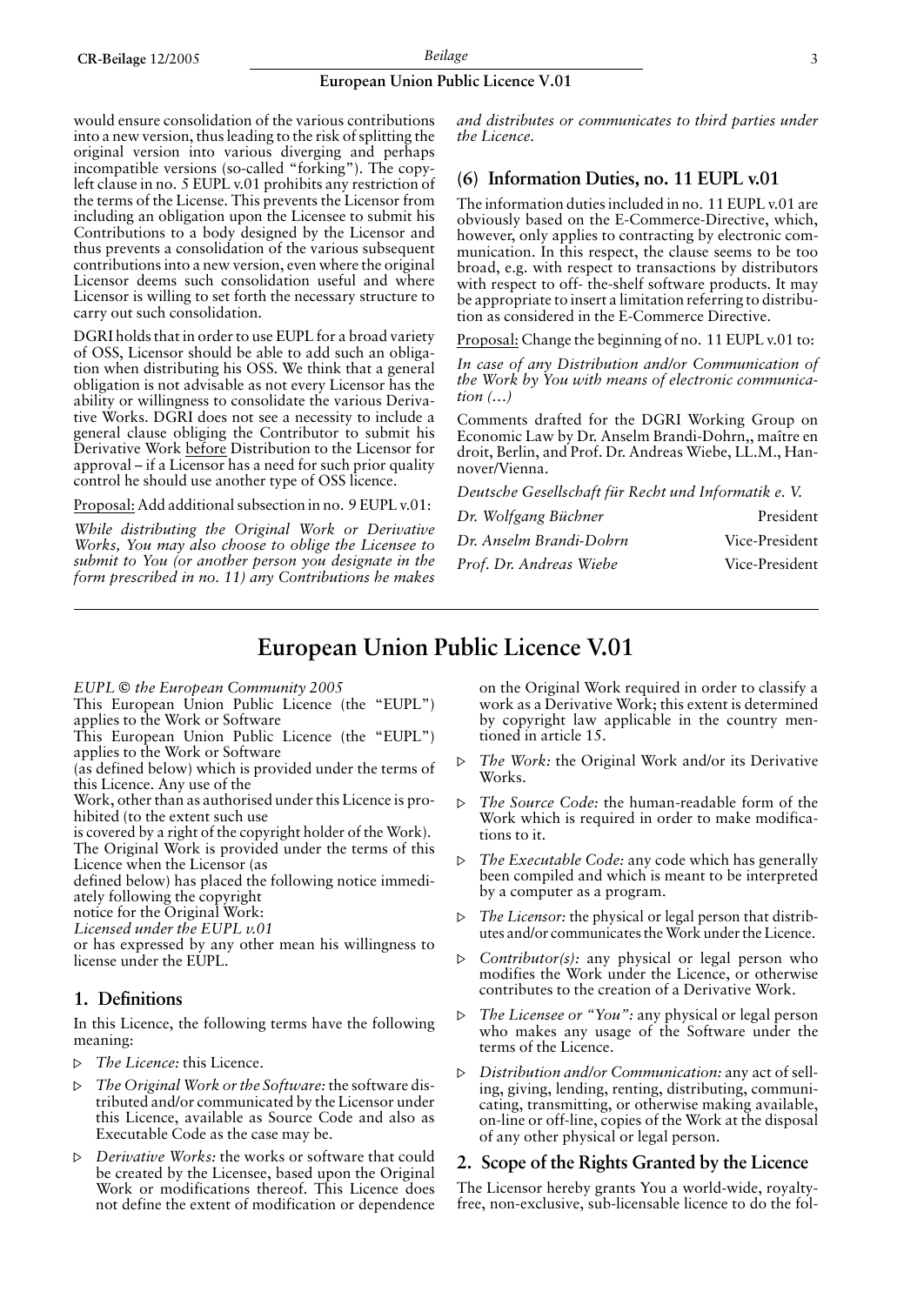#### **European Union Public Licence V.01**

would ensure consolidation of the various contributions into a new version, thus leading to the risk of splitting the original version into various diverging and perhaps incompatible versions (so-called "forking"). The copyleft clause in no. 5 EUPL v.01 prohibits any restriction of the terms of the License. This prevents the Licensor from including an obligation upon the Licensee to submit his Contributions to a body designed by the Licensor and thus prevents a consolidation of the various subsequent contributions into a new version, even where the original Licensor deems such consolidation useful and where Licensor is willing to set forth the necessary structure to carry out such consolidation.

DGRI holds that in order to use EUPL for a broad variety of OSS, Licensor should be able to add such an obligation when distributing his OSS. We think that a general obligation is not advisable as not every Licensor has the ability or willingness to consolidate the various Derivative Works. DGRI does not see a necessity to include a general clause obliging the Contributor to submit his Derivative Work before Distribution to the Licensor for approval – if a Licensor has a need for such prior quality control he should use another type of OSS licence.

Proposal: Add additional subsection in no. 9 EUPL v.01:

*While distributing the Original Work or Derivative Works, You may also choose to oblige the Licensee to submit to You (or another person you designate in the form prescribed in no. 11) any Contributions he makes* *and distributes or communicates to third parties under the Licence.*

### **(6) Information Duties, no. 11 EUPL v.01**

The information duties included in no. 11 EUPL v.01 are obviously based on the E-Commerce-Directive, which, however, only applies to contracting by electronic communication. In this respect, the clause seems to be too broad, e.g. with respect to transactions by distributors with respect to off- the-shelf software products. It may be appropriate to insert a limitation referring to distribution as considered in the E-Commerce Directive.

Proposal: Change the beginning of no. 11 EUPL v.01 to:

*In case of any Distribution and/or Communication of the Work by You with means of electronic communication (…)*

Comments drafted for the DGRI Working Group on Economic Law by Dr. Anselm Brandi-Dohrn,, maˆıtre en droit, Berlin, and Prof. Dr. Andreas Wiebe, LL.M., Hannover/Vienna.

*Deutsche Gesellschaft für Recht und Informatik e. V.*

| Dr. Wolfgang Büchner    | President      |
|-------------------------|----------------|
| Dr. Anselm Brandi-Dohrn | Vice-President |
| Prof. Dr. Andreas Wiebe | Vice-President |

# **European Union Public Licence V.01**

*EUPL* © the European Community 2005

This European Union Public Licence (the "EUPL") applies to the Work or Software

This European Union Public Licence (the "EUPL") applies to the Work or Software

(as defined below) which is provided under the terms of this Licence. Any use of the

Work, other than as authorised under this Licence is prohibited (to the extent such use

is covered by a right of the copyright holder of the Work).

The Original Work is provided under the terms of this Licence when the Licensor (as

defined below) has placed the following notice immediately following the copyright

notice for the Original Work:

*Licensed under the EUPL v.01*

or has expressed by any other mean his willingness to license under the EUPL.

#### **1. Definitions**

In this Licence, the following terms have the following meaning:

- ¸ *The Licence:* this Licence.
- ¸ *The Original Work or the Software:* the software distributed and/or communicated by the Licensor under this Licence, available as Source Code and also as Executable Code as the case may be.
- ¸ *Derivative Works:* the works or software that could be created by the Licensee, based upon the Original Work or modifications thereof. This Licence does not define the extent of modification or dependence

on the Original Work required in order to classify a work as a Derivative Work; this extent is determined by copyright law applicable in the country mentioned in article 15.

- The Work: the Original Work and/or its Derivative Works.
- ¸ *The Source Code:* the human-readable form of the Work which is required in order to make modifications to it.
- *The Executable Code:* any code which has generally been compiled and which is meant to be interpreted by a computer as a program.
- The Licensor: the physical or legal person that distributes and/or communicates the Work under the Licence.
- $\triangleright$  *Contributor(s):* any physical or legal person who modifies the Work under the Licence, or otherwise contributes to the creation of a Derivative Work.
- The Licensee or "You": any physical or legal person who makes any usage of the Software under the terms of the Licence.
- ¸ *Distribution and/or Communication:* any act of selling, giving, lending, renting, distributing, communicating, transmitting, or otherwise making available, on-line or off-line, copies of the Work at the disposal of any other physical or legal person.

#### **2. Scope of the Rights Granted by the Licence**

The Licensor hereby grants You a world-wide, royaltyfree, non-exclusive, sub-licensable licence to do the fol-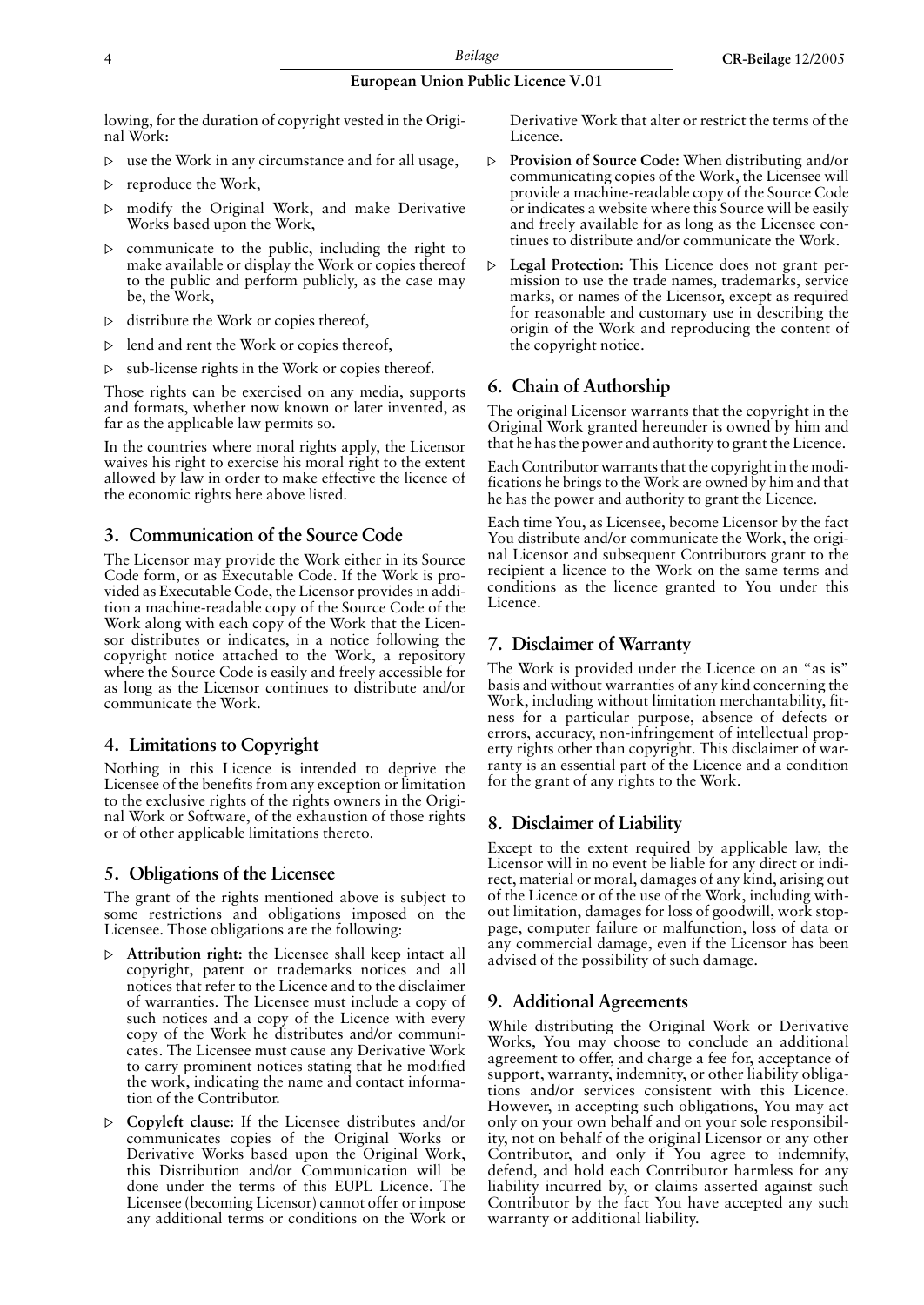#### **European Union Public Licence V.01**

lowing, for the duration of copyright vested in the Original Work:

- use the Work in any circumstance and for all usage,
- $\triangleright$  reproduce the Work,
- $\triangleright$  modify the Original Work, and make Derivative Works based upon the Work,
- $\triangleright$  communicate to the public, including the right to make available or display the Work or copies thereof to the public and perform publicly, as the case may be, the Work,
- $\triangleright$  distribute the Work or copies thereof.
- $\triangleright$  lend and rent the Work or copies thereof,
- $\triangleright$  sub-license rights in the Work or copies thereof.

Those rights can be exercised on any media, supports and formats, whether now known or later invented, as far as the applicable law permits so.

In the countries where moral rights apply, the Licensor waives his right to exercise his moral right to the extent allowed by law in order to make effective the licence of the economic rights here above listed.

#### **3. Communication of the Source Code**

The Licensor may provide the Work either in its Source Code form, or as Executable Code. If the Work is provided as Executable Code, the Licensor provides in addition a machine-readable copy of the Source Code of the Work along with each copy of the Work that the Licensor distributes or indicates, in a notice following the copyright notice attached to the Work, a repository where the Source Code is easily and freely accessible for as long as the Licensor continues to distribute and/or communicate the Work.

#### **4. Limitations to Copyright**

Nothing in this Licence is intended to deprive the Licensee of the benefits from any exception or limitation to the exclusive rights of the rights owners in the Original Work or Software, of the exhaustion of those rights or of other applicable limitations thereto.

#### **5. Obligations of the Licensee**

The grant of the rights mentioned above is subject to some restrictions and obligations imposed on the Licensee. Those obligations are the following:

- Attribution right: the Licensee shall keep intact all copyright, patent or trademarks notices and all notices that refer to the Licence and to the disclaimer of warranties. The Licensee must include a copy of such notices and a copy of the Licence with every copy of the Work he distributes and/or communicates. The Licensee must cause any Derivative Work to carry prominent notices stating that he modified the work, indicating the name and contact information of the Contributor.
- ¸ **Copyleft clause:** If the Licensee distributes and/or communicates copies of the Original Works or Derivative Works based upon the Original Work, this Distribution and/or Communication will be done under the terms of this EUPL Licence. The Licensee (becoming Licensor) cannot offer or impose any additional terms or conditions on the Work or

Derivative Work that alter or restrict the terms of the Licence.

- ¸ **Provision of Source Code:** When distributing and/or communicating copies of the Work, the Licensee will provide a machine-readable copy of the Source Code or indicates a website where this Source will be easily and freely available for as long as the Licensee continues to distribute and/or communicate the Work.
- ¸ **Legal Protection:** This Licence does not grant permission to use the trade names, trademarks, service marks, or names of the Licensor, except as required for reasonable and customary use in describing the origin of the Work and reproducing the content of the copyright notice.

#### **6. Chain of Authorship**

The original Licensor warrants that the copyright in the Original Work granted hereunder is owned by him and that he has the power and authority to grant the Licence.

Each Contributor warrants that the copyright in the modifications he brings to the Work are owned by him and that he has the power and authority to grant the Licence.

Each time You, as Licensee, become Licensor by the fact You distribute and/or communicate the Work, the original Licensor and subsequent Contributors grant to the recipient a licence to the Work on the same terms and conditions as the licence granted to You under this Licence.

#### **7. Disclaimer of Warranty**

The Work is provided under the Licence on an "as is" basis and without warranties of any kind concerning the Work, including without limitation merchantability, fitness for a particular purpose, absence of defects or errors, accuracy, non-infringement of intellectual property rights other than copyright. This disclaimer of warranty is an essential part of the Licence and a condition for the grant of any rights to the Work.

#### **8. Disclaimer of Liability**

Except to the extent required by applicable law, the Licensor will in no event be liable for any direct or indirect, material or moral, damages of any kind, arising out of the Licence or of the use of the Work, including without limitation, damages for loss of goodwill, work stoppage, computer failure or malfunction, loss of data or any commercial damage, even if the Licensor has been advised of the possibility of such damage.

#### **9. Additional Agreements**

While distributing the Original Work or Derivative Works, You may choose to conclude an additional agreement to offer, and charge a fee for, acceptance of support, warranty, indemnity, or other liability obligations and/or services consistent with this Licence. However, in accepting such obligations, You may act only on your own behalf and on your sole responsibility, not on behalf of the original Licensor or any other Contributor, and only if You agree to indemnify, defend, and hold each Contributor harmless for any liability incurred by, or claims asserted against such Contributor by the fact You have accepted any such warranty or additional liability.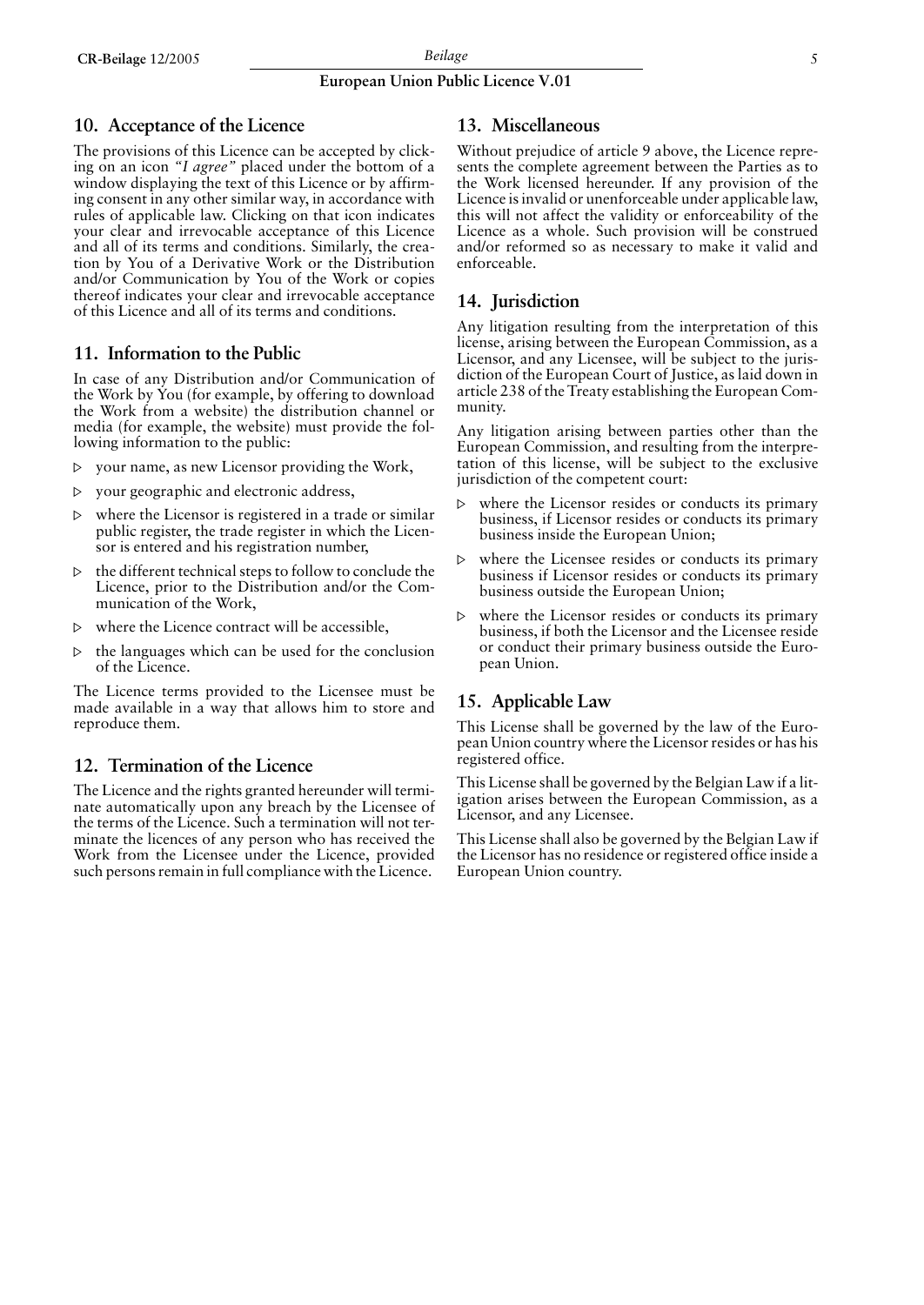#### **European Union Public Licence V.01**

#### **10. Acceptance of the Licence**

The provisions of this Licence can be accepted by clicking on an icon *"I agree"* placed under the bottom of a window displaying the text of this Licence or by affirming consent in any other similar way, in accordance with rules of applicable law. Clicking on that icon indicates your clear and irrevocable acceptance of this Licence and all of its terms and conditions. Similarly, the creation by You of a Derivative Work or the Distribution and/or Communication by You of the Work or copies thereof indicates your clear and irrevocable acceptance of this Licence and all of its terms and conditions.

#### **11. Information to the Public**

In case of any Distribution and/or Communication of the Work by You (for example, by offering to download the Work from a website) the distribution channel or media (for example, the website) must provide the following information to the public:

- $\triangleright$  your name, as new Licensor providing the Work,
- $\triangleright$  your geographic and electronic address,
- $\triangleright$  where the Licensor is registered in a trade or similar public register, the trade register in which the Licensor is entered and his registration number,
- $\triangleright$  the different technical steps to follow to conclude the Licence, prior to the Distribution and/or the Communication of the Work,
- $\triangleright$  where the Licence contract will be accessible,
- $\triangleright$  the languages which can be used for the conclusion of the Licence.

The Licence terms provided to the Licensee must be made available in a way that allows him to store and reproduce them.

#### **12. Termination of the Licence**

The Licence and the rights granted hereunder will terminate automatically upon any breach by the Licensee of the terms of the Licence. Such a termination will not terminate the licences of any person who has received the Work from the Licensee under the Licence, provided such persons remain in full compliance with the Licence.

#### **13. Miscellaneous**

Without prejudice of article 9 above, the Licence represents the complete agreement between the Parties as to the Work licensed hereunder. If any provision of the Licence is invalid or unenforceable under applicable law, this will not affect the validity or enforceability of the Licence as a whole. Such provision will be construed and/or reformed so as necessary to make it valid and enforceable.

#### **14. Jurisdiction**

Any litigation resulting from the interpretation of this license, arising between the European Commission, as a Licensor, and any Licensee, will be subject to the jurisdiction of the European Court of Justice, as laid down in article 238 of the Treaty establishing the European Community.

Any litigation arising between parties other than the European Commission, and resulting from the interpretation of this license, will be subject to the exclusive jurisdiction of the competent court:

- where the Licensor resides or conducts its primary business, if Licensor resides or conducts its primary business inside the European Union;
- $\triangleright$  where the Licensee resides or conducts its primary business if Licensor resides or conducts its primary business outside the European Union;
- $\triangleright$  where the Licensor resides or conducts its primary business, if both the Licensor and the Licensee reside or conduct their primary business outside the European Union.

#### **15. Applicable Law**

This License shall be governed by the law of the European Union country where the Licensor resides or has his registered office.

This License shall be governed by the Belgian Law if a litigation arises between the European Commission, as a Licensor, and any Licensee.

This License shall also be governed by the Belgian Law if the Licensor has no residence or registered office inside a European Union country.